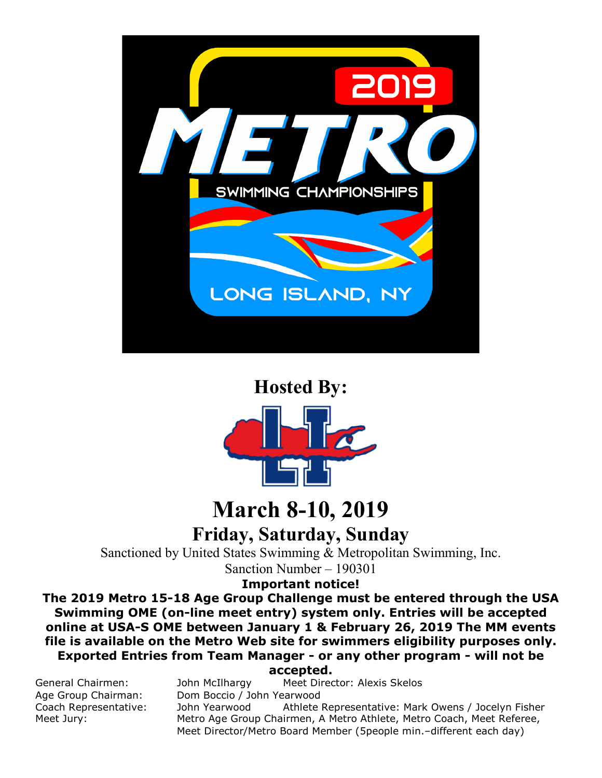

## **Hosted By:**



# **March 8-10, 2019**

**Friday, Saturday, Sunday**

Sanctioned by United States Swimming & Metropolitan Swimming, Inc.

Sanction Number – 190301

**Important notice!** 

**The 2019 Metro 15-18 Age Group Challenge must be entered through the USA Swimming OME (on-line meet entry) system only. Entries will be accepted online at USA-S OME between January 1 & February 26, 2019 The MM events file is available on the Metro Web site for swimmers eligibility purposes only. Exported Entries from Team Manager - or any other program - will not be accepted.**

General Chairmen: John McIlhargy Meet Director: Alexis Skelos Age Group Chairman: Dom Boccio / John Yearwood<br>Coach Representative: John Yearwood Athlete Coach Representative: John Yearwood Athlete Representative: Mark Owens / Jocelyn Fisher Meet Jury: Metro Age Group Chairmen, A Metro Athlete, Metro Coach, Meet Referee, Meet Director/Metro Board Member (5people min.–different each day)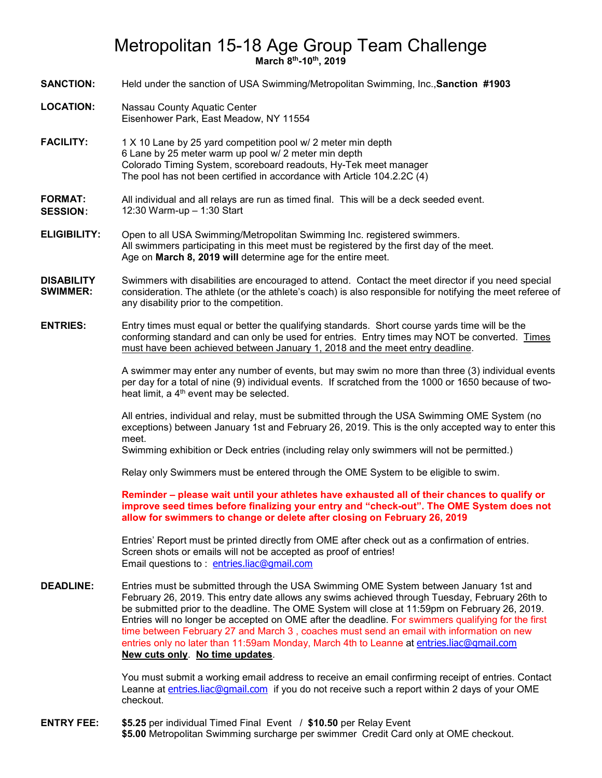## Metropolitan 15-18 Age Group Team Challenge **March 8th-10th, 2019**

**SANCTION:** Held under the sanction of USA Swimming/Metropolitan Swimming, Inc.,**Sanction #1903**

- **LOCATION:** Nassau County Aquatic Center Eisenhower Park, East Meadow, NY 11554
- **FACILITY:** 1 X 10 Lane by 25 yard competition pool w/ 2 meter min depth 6 Lane by 25 meter warm up pool w/ 2 meter min depth Colorado Timing System, scoreboard readouts, Hy-Tek meet manager The pool has not been certified in accordance with Article 104.2.2C (4)

#### **FORMAT:** All individual and all relays are run as timed final. This will be a deck seeded event. **SESSION**: 12:30 Warm-up – 1:30 Start

- **ELIGIBILITY:** Open to all USA Swimming/Metropolitan Swimming Inc. registered swimmers. All swimmers participating in this meet must be registered by the first day of the meet. Age on **March 8, 2019 will** determine age for the entire meet.
- **DISABILITY SWIMMER:** Swimmers with disabilities are encouraged to attend. Contact the meet director if you need special consideration. The athlete (or the athlete's coach) is also responsible for notifying the meet referee of any disability prior to the competition.

**ENTRIES:** Entry times must equal or better the qualifying standards. Short course yards time will be the conforming standard and can only be used for entries. Entry times may NOT be converted. Times must have been achieved between January 1, 2018 and the meet entry deadline.

> A swimmer may enter any number of events, but may swim no more than three (3) individual events per day for a total of nine (9) individual events. If scratched from the 1000 or 1650 because of twoheat limit, a 4<sup>th</sup> event may be selected.

> All entries, individual and relay, must be submitted through the USA Swimming OME System (no exceptions) between January 1st and February 26, 2019. This is the only accepted way to enter this meet.

Swimming exhibition or Deck entries (including relay only swimmers will not be permitted.)

Relay only Swimmers must be entered through the OME System to be eligible to swim.

**Reminder – please wait until your athletes have exhausted all of their chances to qualify or improve seed times before finalizing your entry and "check-out". The OME System does not allow for swimmers to change or delete after closing on February 26, 2019**

Entries' Report must be printed directly from OME after check out as a confirmation of entries. Screen shots or emails will not be accepted as proof of entries! Email questions to: [entries.liac@gmail.com](mailto:entries.liac@gmail.com)

**DEADLINE:** Entries must be submitted through the USA Swimming OME System between January 1st and February 26, 2019. This entry date allows any swims achieved through Tuesday, February 26th to be submitted prior to the deadline. The OME System will close at 11:59pm on February 26, 2019. Entries will no longer be accepted on OME after the deadline. For swimmers qualifying for the first time between February 27 and March 3 , coaches must send an email with information on new entries only no later than 11:59am Monday, March 4th to Leanne at [entries.liac@gmail.com](mailto:entries.liac@gmail.com) **New cuts only**. **No time updates**.

> You must submit a working email address to receive an email confirming receipt of entries. Contact Leanne at [entries.liac@gmail.com](mailto:entries.liac@gmail.com) if you do not receive such a report within 2 days of your OME checkout.

**ENTRY FEE: \$5.25** per individual Timed Final Event / **\$10.50** per Relay Event **\$5.00** Metropolitan Swimming surcharge per swimmer Credit Card only at OME checkout.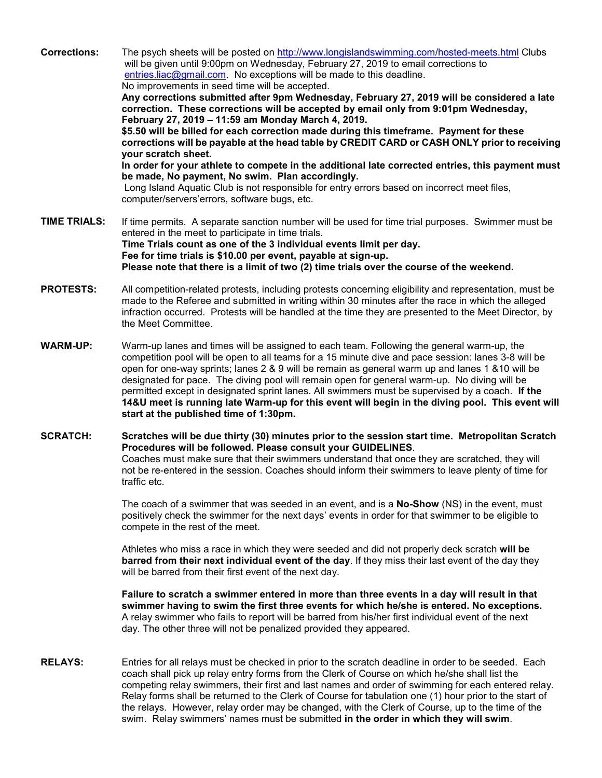**Corrections:** The psych sheets will be posted on<http://www.longislandswimming.com/hosted-meets.html> Clubs will be given until 9:00pm on Wednesday, February 27, 2019 to email corrections to [entries.liac@gmail.com.](mailto:entries.liac@gmail.com) No exceptions will be made to this deadline. No improvements in seed time will be accepted.

> **Any corrections submitted after 9pm Wednesday, February 27, 2019 will be considered a late correction. These corrections will be accepted by email only from 9:01pm Wednesday, February 27, 2019 – 11:59 am Monday March 4, 2019.**

**\$5.50 will be billed for each correction made during this timeframe. Payment for these corrections will be payable at the head table by CREDIT CARD or CASH ONLY prior to receiving your scratch sheet.** 

**In order for your athlete to compete in the additional late corrected entries, this payment must be made, No payment, No swim. Plan accordingly.**

Long Island Aquatic Club is not responsible for entry errors based on incorrect meet files, computer/servers'errors, software bugs, etc.

- **TIME TRIALS:** If time permits. A separate sanction number will be used for time trial purposes. Swimmer must be entered in the meet to participate in time trials. **Time Trials count as one of the 3 individual events limit per day. Fee for time trials is \$10.00 per event, payable at sign-up. Please note that there is a limit of two (2) time trials over the course of the weekend.**
- **PROTESTS:** All competition-related protests, including protests concerning eligibility and representation, must be made to the Referee and submitted in writing within 30 minutes after the race in which the alleged infraction occurred. Protests will be handled at the time they are presented to the Meet Director, by the Meet Committee.
- **WARM-UP:** Warm-up lanes and times will be assigned to each team. Following the general warm-up, the competition pool will be open to all teams for a 15 minute dive and pace session: lanes 3-8 will be open for one-way sprints; lanes 2 & 9 will be remain as general warm up and lanes 1 &10 will be designated for pace. The diving pool will remain open for general warm-up. No diving will be permitted except in designated sprint lanes. All swimmers must be supervised by a coach. **If the 14&U meet is running late Warm-up for this event will begin in the diving pool. This event will start at the published time of 1:30pm.**
- **SCRATCH: Scratches will be due thirty (30) minutes prior to the session start time. Metropolitan Scratch Procedures will be followed. Please consult your GUIDELINES**. Coaches must make sure that their swimmers understand that once they are scratched, they will not be re-entered in the session. Coaches should inform their swimmers to leave plenty of time for traffic etc.

The coach of a swimmer that was seeded in an event, and is a **No-Show** (NS) in the event, must positively check the swimmer for the next days' events in order for that swimmer to be eligible to compete in the rest of the meet.

Athletes who miss a race in which they were seeded and did not properly deck scratch **will be barred from their next individual event of the day**. If they miss their last event of the day they will be barred from their first event of the next day.

**Failure to scratch a swimmer entered in more than three events in a day will result in that swimmer having to swim the first three events for which he/she is entered. No exceptions.** A relay swimmer who fails to report will be barred from his/her first individual event of the next day. The other three will not be penalized provided they appeared.

**RELAYS:** Entries for all relays must be checked in prior to the scratch deadline in order to be seeded. Each coach shall pick up relay entry forms from the Clerk of Course on which he/she shall list the competing relay swimmers, their first and last names and order of swimming for each entered relay. Relay forms shall be returned to the Clerk of Course for tabulation one (1) hour prior to the start of the relays. However, relay order may be changed, with the Clerk of Course, up to the time of the swim. Relay swimmers' names must be submitted **in the order in which they will swim**.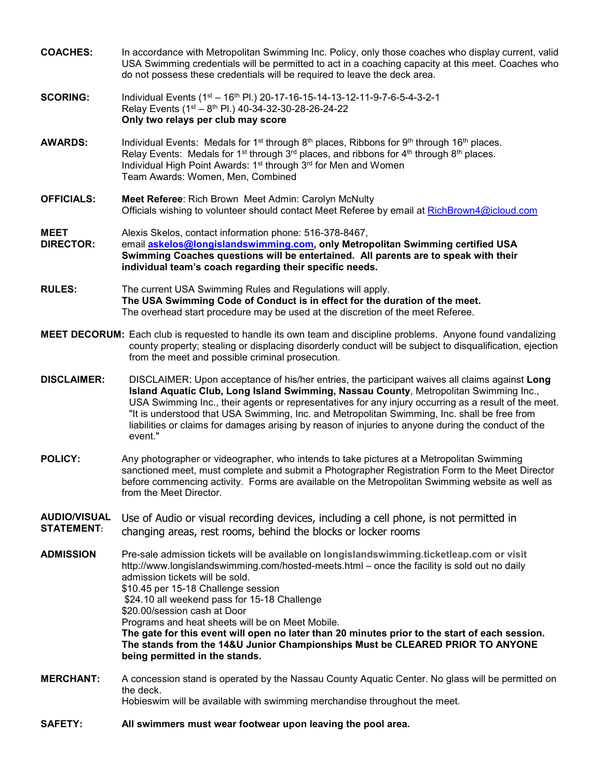| <b>COACHES:</b>                          | In accordance with Metropolitan Swimming Inc. Policy, only those coaches who display current, valid<br>USA Swimming credentials will be permitted to act in a coaching capacity at this meet. Coaches who<br>do not possess these credentials will be required to leave the deck area.                                                                                                                                                                                                                                                                                                                                        |  |  |  |
|------------------------------------------|-------------------------------------------------------------------------------------------------------------------------------------------------------------------------------------------------------------------------------------------------------------------------------------------------------------------------------------------------------------------------------------------------------------------------------------------------------------------------------------------------------------------------------------------------------------------------------------------------------------------------------|--|--|--|
| <b>SCORING:</b>                          | Individual Events (1 <sup>st</sup> - 16 <sup>th</sup> Pl.) 20-17-16-15-14-13-12-11-9-7-6-5-4-3-2-1<br>Relay Events (1 <sup>st</sup> – 8 <sup>th</sup> Pl.) 40-34-32-30-28-26-24-22<br>Only two relays per club may score                                                                                                                                                                                                                                                                                                                                                                                                      |  |  |  |
| <b>AWARDS:</b>                           | Individual Events: Medals for 1 <sup>st</sup> through 8 <sup>th</sup> places, Ribbons for 9 <sup>th</sup> through 16 <sup>th</sup> places.<br>Relay Events: Medals for 1 <sup>st</sup> through 3 <sup>rd</sup> places, and ribbons for 4 <sup>th</sup> through 8 <sup>th</sup> places.<br>Individual High Point Awards: 1 <sup>st</sup> through 3 <sup>rd</sup> for Men and Women<br>Team Awards: Women, Men, Combined                                                                                                                                                                                                        |  |  |  |
| <b>OFFICIALS:</b>                        | Meet Referee: Rich Brown Meet Admin: Carolyn McNulty<br>Officials wishing to volunteer should contact Meet Referee by email at RichBrown4@icloud.com                                                                                                                                                                                                                                                                                                                                                                                                                                                                          |  |  |  |
| <b>MEET</b><br><b>DIRECTOR:</b>          | Alexis Skelos, contact information phone: 516-378-8467,<br>email askelos@longislandswimming.com, only Metropolitan Swimming certified USA<br>Swimming Coaches questions will be entertained. All parents are to speak with their<br>individual team's coach regarding their specific needs.                                                                                                                                                                                                                                                                                                                                   |  |  |  |
| <b>RULES:</b>                            | The current USA Swimming Rules and Regulations will apply.<br>The USA Swimming Code of Conduct is in effect for the duration of the meet.<br>The overhead start procedure may be used at the discretion of the meet Referee.                                                                                                                                                                                                                                                                                                                                                                                                  |  |  |  |
|                                          | MEET DECORUM: Each club is requested to handle its own team and discipline problems. Anyone found vandalizing<br>county property; stealing or displacing disorderly conduct will be subject to disqualification, ejection<br>from the meet and possible criminal prosecution.                                                                                                                                                                                                                                                                                                                                                 |  |  |  |
| <b>DISCLAIMER:</b>                       | DISCLAIMER: Upon acceptance of his/her entries, the participant waives all claims against Long<br>Island Aquatic Club, Long Island Swimming, Nassau County, Metropolitan Swimming Inc.,<br>USA Swimming Inc., their agents or representatives for any injury occurring as a result of the meet.<br>"It is understood that USA Swimming, Inc. and Metropolitan Swimming, Inc. shall be free from<br>liabilities or claims for damages arising by reason of injuries to anyone during the conduct of the<br>event."                                                                                                             |  |  |  |
| <b>POLICY:</b>                           | Any photographer or videographer, who intends to take pictures at a Metropolitan Swimming<br>sanctioned meet, must complete and submit a Photographer Registration Form to the Meet Director<br>before commencing activity. Forms are available on the Metropolitan Swimming website as well as<br>from the Meet Director.                                                                                                                                                                                                                                                                                                    |  |  |  |
| <b>AUDIO/VISUAL</b><br><b>STATEMENT:</b> | Use of Audio or visual recording devices, including a cell phone, is not permitted in<br>changing areas, rest rooms, behind the blocks or locker rooms                                                                                                                                                                                                                                                                                                                                                                                                                                                                        |  |  |  |
| <b>ADMISSION</b>                         | Pre-sale admission tickets will be available on longislandswimming.ticketleap.com or visit<br>http://www.longislandswimming.com/hosted-meets.html - once the facility is sold out no daily<br>admission tickets will be sold.<br>\$10.45 per 15-18 Challenge session<br>\$24.10 all weekend pass for 15-18 Challenge<br>\$20.00/session cash at Door<br>Programs and heat sheets will be on Meet Mobile.<br>The gate for this event will open no later than 20 minutes prior to the start of each session.<br>The stands from the 14&U Junior Championships Must be CLEARED PRIOR TO ANYONE<br>being permitted in the stands. |  |  |  |
| <b>MERCHANT:</b>                         | A concession stand is operated by the Nassau County Aquatic Center. No glass will be permitted on<br>the deck.<br>Hobieswim will be available with swimming merchandise throughout the meet.                                                                                                                                                                                                                                                                                                                                                                                                                                  |  |  |  |
| <b>SAFETY:</b>                           | All swimmers must wear footwear upon leaving the pool area.                                                                                                                                                                                                                                                                                                                                                                                                                                                                                                                                                                   |  |  |  |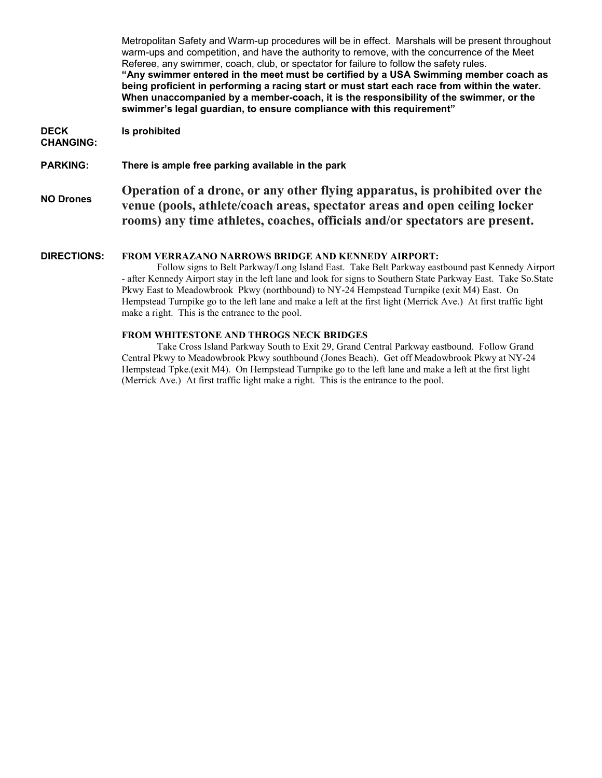Metropolitan Safety and Warm-up procedures will be in effect. Marshals will be present throughout warm-ups and competition, and have the authority to remove, with the concurrence of the Meet Referee, any swimmer, coach, club, or spectator for failure to follow the safety rules. **"Any swimmer entered in the meet must be certified by a USA Swimming member coach as being proficient in performing a racing start or must start each race from within the water. When unaccompanied by a member-coach, it is the responsibility of the swimmer, or the swimmer's legal guardian, to ensure compliance with this requirement" DECK CHANGING: Is prohibited PARKING: There is ample free parking available in the park NO Drones Operation of a drone, or any other flying apparatus, is prohibited over the venue (pools, athlete/coach areas, spectator areas and open ceiling locker rooms) any time athletes, coaches, officials and/or spectators are present. DIRECTIONS: FROM VERRAZANO NARROWS BRIDGE AND KENNEDY AIRPORT:** Follow signs to Belt Parkway/Long Island East. Take Belt Parkway eastbound past Kennedy Airport - after Kennedy Airport stay in the left lane and look for signs to Southern State Parkway East. Take So.State Pkwy East to Meadowbrook Pkwy (northbound) to NY-24 Hempstead Turnpike (exit M4) East. On

#### **FROM WHITESTONE AND THROGS NECK BRIDGES**

make a right. This is the entrance to the pool.

Take Cross Island Parkway South to Exit 29, Grand Central Parkway eastbound. Follow Grand Central Pkwy to Meadowbrook Pkwy southbound (Jones Beach). Get off Meadowbrook Pkwy at NY-24 Hempstead Tpke.(exit M4). On Hempstead Turnpike go to the left lane and make a left at the first light (Merrick Ave.) At first traffic light make a right. This is the entrance to the pool.

Hempstead Turnpike go to the left lane and make a left at the first light (Merrick Ave.) At first traffic light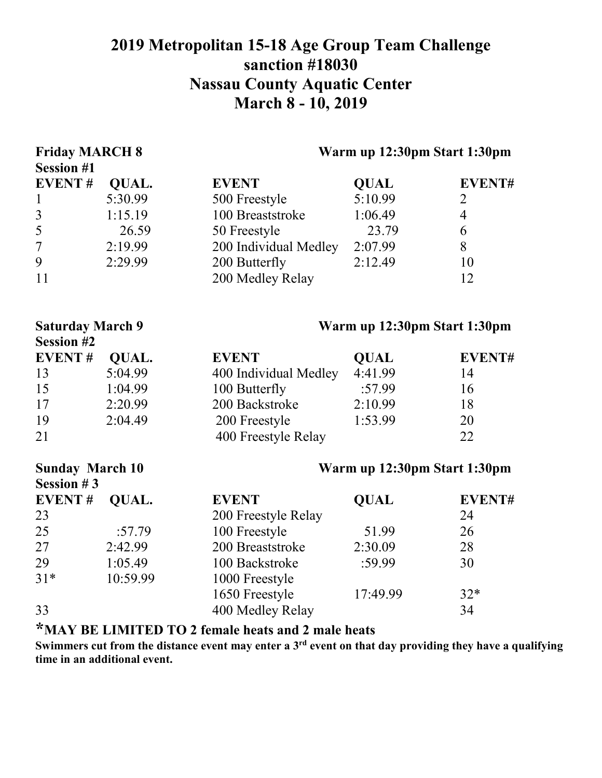## **2019 Metropolitan 15-18 Age Group Team Challenge sanction #18030 Nassau County Aquatic Center March 8 - 10, 2019**

| <b>Friday MARCH 8</b><br><b>Session #1</b> |              |                       | Warm up 12:30pm Start 1:30pm |                |  |
|--------------------------------------------|--------------|-----------------------|------------------------------|----------------|--|
| <b>EVENT#</b>                              | QUAL.        | <b>EVENT</b>          | <b>QUAL</b>                  | <b>EVENT#</b>  |  |
| $\mathbf{1}$                               | 5:30.99      | 500 Freestyle         | 5:10.99                      | $\overline{2}$ |  |
| $\overline{3}$                             | 1:15.19      | 100 Breaststroke      | 1:06.49                      | $\overline{4}$ |  |
| 5                                          | 26.59        | 50 Freestyle          | 23.79                        | 6              |  |
| $\overline{7}$                             | 2:19.99      | 200 Individual Medley | 2:07.99                      | 8              |  |
| 9                                          | 2:29.99      | 200 Butterfly         | 2:12.49                      | 10             |  |
| 11                                         |              | 200 Medley Relay      |                              | 12             |  |
| <b>Saturday March 9</b>                    |              |                       | Warm up 12:30pm Start 1:30pm |                |  |
| <b>Session #2</b>                          |              |                       |                              |                |  |
| <b>EVENT#</b>                              | <b>QUAL.</b> | <b>EVENT</b>          | <b>QUAL</b>                  | EVENT#         |  |
| 13                                         | 5:04.99      | 400 Individual Medley | 4:41.99                      | 14             |  |
| 15                                         | 1:04.99      | 100 Butterfly         | :57.99                       | 16             |  |
| 17                                         | 2:20.99      | 200 Backstroke        | 2:10.99                      | 18             |  |
| 19                                         | 2:04.49      | 200 Freestyle         | 1:53.99                      | 20             |  |
| 21                                         |              | 400 Freestyle Relay   |                              | 22             |  |
| <b>Sunday March 10</b><br>Session $#3$     |              |                       | Warm up 12:30pm Start 1:30pm |                |  |
| <b>EVENT#</b>                              | QUAL.        | <b>EVENT</b>          | <b>QUAL</b>                  | EVENT#         |  |
| 23                                         |              | 200 Freestyle Relay   |                              | 24             |  |
| 25                                         | :57.79       | 100 Freestyle         | 51.99                        | 26             |  |
| 27                                         | 2:42.99      | 200 Breaststroke      | 2:30.09                      | 28             |  |
| 29                                         | 1:05.49      | 100 Backstroke        | :59.99                       | 30             |  |
| $31*$                                      | 10:59.99     | 1000 Freestyle        |                              |                |  |
|                                            |              | 1650 Freestyle        | 17:49.99                     | $32*$          |  |
| 33                                         |              | 400 Medley Relay      |                              | 34             |  |

**\*MAY BE LIMITED TO 2 female heats and 2 male heats**

**Swimmers cut from the distance event may enter a 3rd event on that day providing they have a qualifying time in an additional event.**